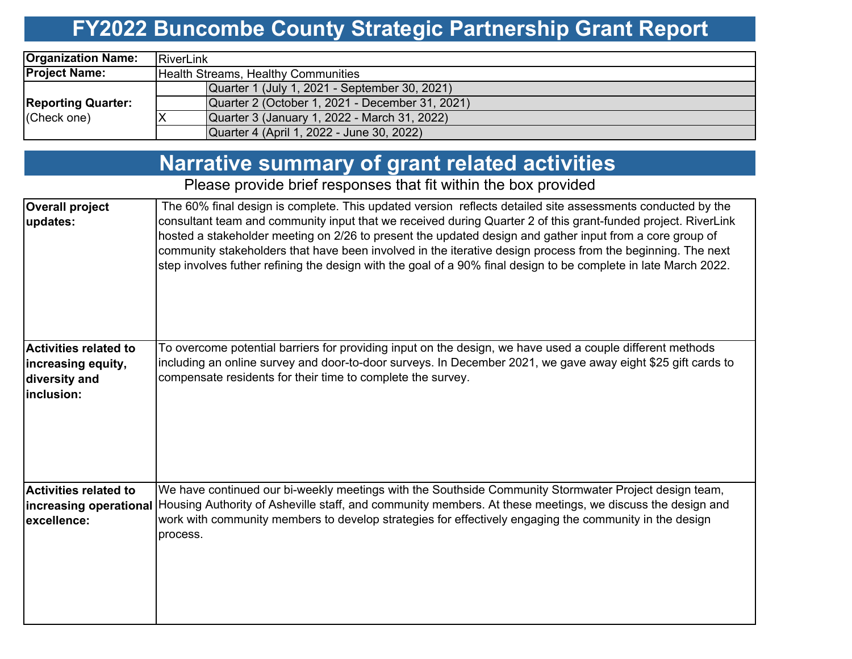## **FY2022 Buncombe County Strategic Partnership Grant Report**

| <b>Organization Name:</b> | RiverLink                                       |  |  |  |  |  |  |  |
|---------------------------|-------------------------------------------------|--|--|--|--|--|--|--|
| <b>Project Name:</b>      | <b>Health Streams, Healthy Communities</b>      |  |  |  |  |  |  |  |
|                           | Quarter 1 (July 1, 2021 - September 30, 2021)   |  |  |  |  |  |  |  |
| <b>Reporting Quarter:</b> | Quarter 2 (October 1, 2021 - December 31, 2021) |  |  |  |  |  |  |  |
| (Check one)               | Quarter 3 (January 1, 2022 - March 31, 2022)    |  |  |  |  |  |  |  |
|                           | Quarter 4 (April 1, 2022 - June 30, 2022)       |  |  |  |  |  |  |  |

#### **Narrative summary of grant related activities**

Please provide brief responses that fit within the box provided

| <b>Overall project</b><br>updates:                                                | The 60% final design is complete. This updated version reflects detailed site assessments conducted by the<br>consultant team and community input that we received during Quarter 2 of this grant-funded project. RiverLink<br>hosted a stakeholder meeting on 2/26 to present the updated design and gather input from a core group of<br>community stakeholders that have been involved in the iterative design process from the beginning. The next<br>step involves futher refining the design with the goal of a 90% final design to be complete in late March 2022. |
|-----------------------------------------------------------------------------------|---------------------------------------------------------------------------------------------------------------------------------------------------------------------------------------------------------------------------------------------------------------------------------------------------------------------------------------------------------------------------------------------------------------------------------------------------------------------------------------------------------------------------------------------------------------------------|
| <b>Activities related to</b><br>increasing equity,<br>diversity and<br>inclusion: | To overcome potential barriers for providing input on the design, we have used a couple different methods<br>including an online survey and door-to-door surveys. In December 2021, we gave away eight \$25 gift cards to<br>compensate residents for their time to complete the survey.                                                                                                                                                                                                                                                                                  |
| <b>Activities related to</b><br>excellence:                                       | We have continued our bi-weekly meetings with the Southside Community Stormwater Project design team,<br>increasing operational Housing Authority of Asheville staff, and community members. At these meetings, we discuss the design and<br>work with community members to develop strategies for effectively engaging the community in the design<br>process.                                                                                                                                                                                                           |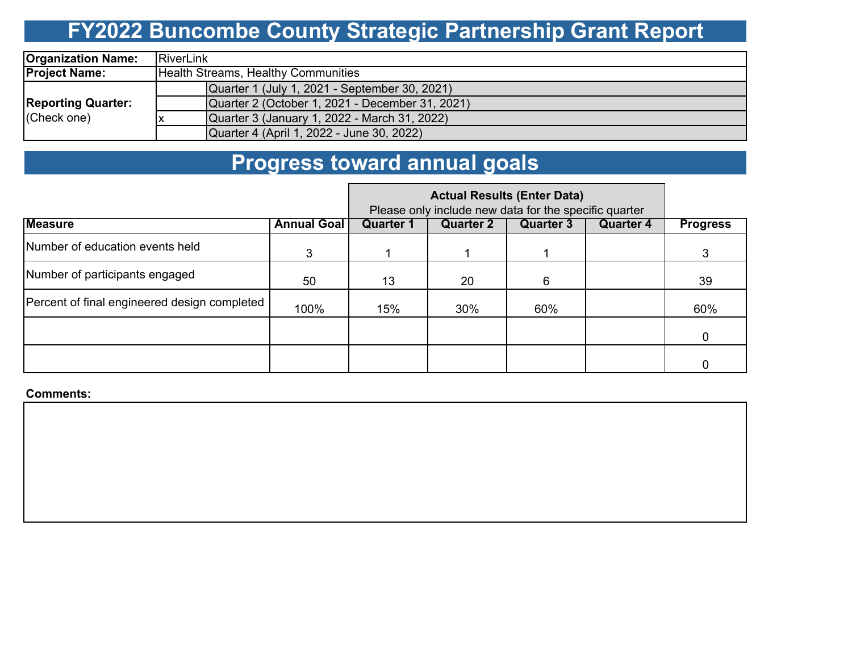# **FY2022 Buncombe County Strategic Partnership Grant Report**

| <b>Organization Name:</b>                | <b>RiverLink</b> |                                                 |  |  |  |  |  |  |  |
|------------------------------------------|------------------|-------------------------------------------------|--|--|--|--|--|--|--|
| <b>Project Name:</b>                     |                  | Health Streams, Healthy Communities             |  |  |  |  |  |  |  |
| <b>Reporting Quarter:</b><br>(Check one) |                  | Quarter 1 (July 1, 2021 - September 30, 2021)   |  |  |  |  |  |  |  |
|                                          |                  | Quarter 2 (October 1, 2021 - December 31, 2021) |  |  |  |  |  |  |  |
|                                          |                  | Quarter 3 (January 1, 2022 - March 31, 2022)    |  |  |  |  |  |  |  |
|                                          |                  | Quarter 4 (April 1, 2022 - June 30, 2022)       |  |  |  |  |  |  |  |

#### **Progress toward annual goals**

|                                              | Please only include new data for the specific quarter |                  |                  |                  |                  |                 |
|----------------------------------------------|-------------------------------------------------------|------------------|------------------|------------------|------------------|-----------------|
| <b>Measure</b>                               | <b>Annual Goal</b>                                    | <b>Quarter 1</b> | <b>Quarter 2</b> | <b>Quarter 3</b> | <b>Quarter 4</b> | <b>Progress</b> |
| Number of education events held              | 3                                                     |                  |                  |                  |                  |                 |
| Number of participants engaged               | 50                                                    | 13               | 20               | 6                |                  | 39              |
| Percent of final engineered design completed | 100%                                                  | 15%              | 30%              | 60%              |                  | 60%             |
|                                              |                                                       |                  |                  |                  |                  | 0               |
|                                              |                                                       |                  |                  |                  |                  |                 |

**Comments:**